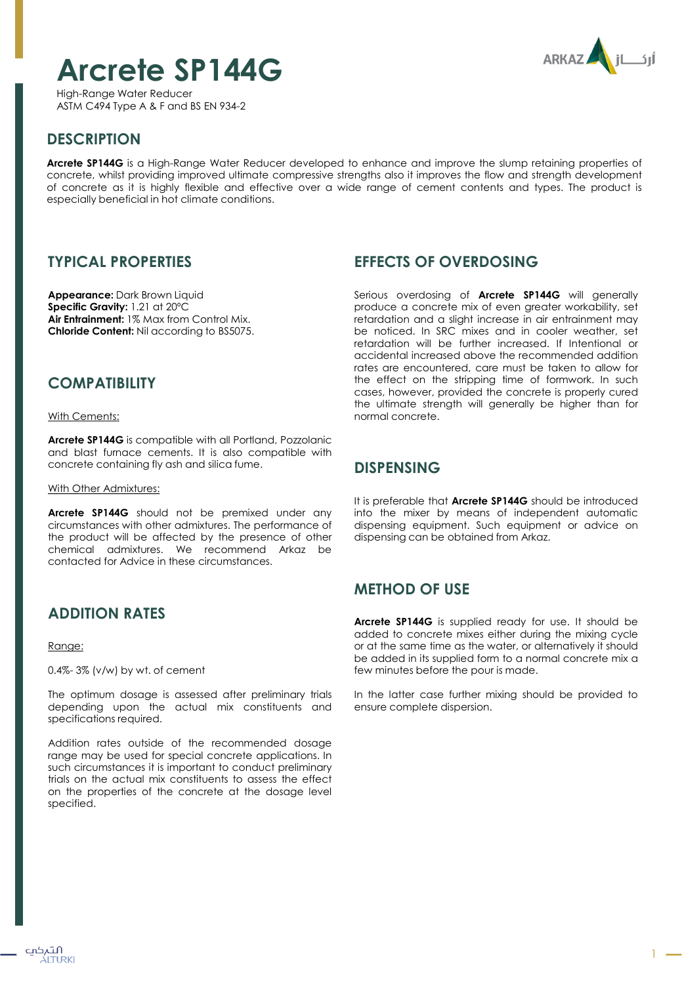# **Arcrete SP144G**

**ARKAZ** 

High-Range Water Reducer ASTM C494 Type A & F and BS EN 934-2

# **DESCRIPTION**

**Arcrete SP144G** is a High-Range Water Reducer developed to enhance and improve the slump retaining properties of concrete, whilst providing improved ultimate compressive strengths also it improves the flow and strength development of concrete as it is highly flexible and effective over a wide range of cement contents and types. The product is especially beneficial in hot climate conditions.

#### **TYPICAL PROPERTIES**

**Appearance:** Dark Brown Liquid **Specific Gravity:** 1.21 at 20ºC **Air Entrainment:** 1% Max from Control Mix. **Chloride Content:** Nil according to BS5075.

### **COMPATIBILITY**

With Cements:

**Arcrete SP144G** is compatible with all Portland, Pozzolanic and blast furnace cements. It is also compatible with concrete containing fly ash and silica fume.

With Other Admixtures:

**Arcrete SP144G** should not be premixed under any circumstances with other admixtures. The performance of the product will be affected by the presence of other chemical admixtures. We recommend Arkaz be contacted for Advice in these circumstances.

### **ADDITION RATES**

Range:

0.4%- 3% (v/w) by wt. of cement

The optimum dosage is assessed after preliminary trials depending upon the actual mix constituents and specifications required.

Addition rates outside of the recommended dosage range may be used for special concrete applications. In such circumstances it is important to conduct preliminary trials on the actual mix constituents to assess the effect on the properties of the concrete at the dosage level specified.

#### **EFFECTS OF OVERDOSING**

Serious overdosing of **Arcrete SP144G** will generally produce a concrete mix of even greater workability, set retardation and a slight increase in air entrainment may be noticed. In SRC mixes and in cooler weather, set retardation will be further increased. If Intentional or accidental increased above the recommended addition rates are encountered, care must be taken to allow for the effect on the stripping time of formwork. In such cases, however, provided the concrete is properly cured the ultimate strength will generally be higher than for normal concrete.

#### **DISPENSING**

It is preferable that **Arcrete SP144G** should be introduced into the mixer by means of independent automatic dispensing equipment. Such equipment or advice on dispensing can be obtained from Arkaz.

### **METHOD OF USE**

**Arcrete SP144G** is supplied ready for use. It should be added to concrete mixes either during the mixing cycle or at the same time as the water, or alternatively it should be added in its supplied form to a normal concrete mix a few minutes before the pour is made.

In the latter case further mixing should be provided to ensure complete dispersion.